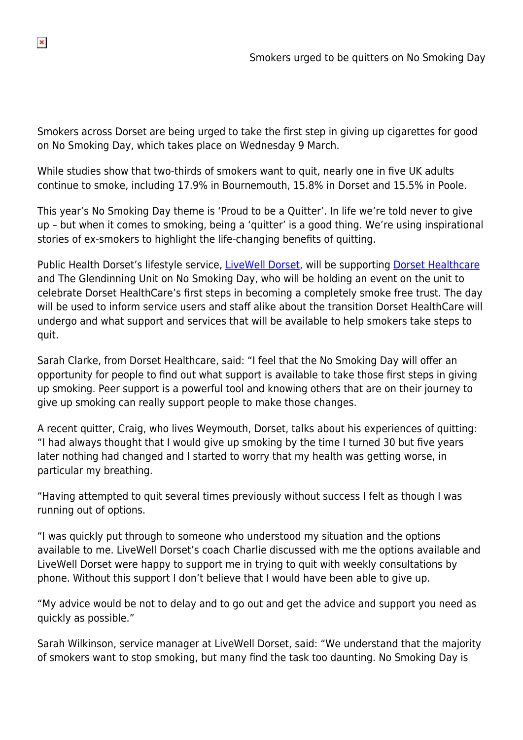Smokers across Dorset are being urged to take the first step in giving up cigarettes for good on No Smoking Day, which takes place on Wednesday 9 March.

While studies show that two-thirds of smokers want to quit, nearly one in five UK adults continue to smoke, including 17.9% in Bournemouth, 15.8% in Dorset and 15.5% in Poole.

This year's No Smoking Day theme is 'Proud to be a Quitter'. In life we're told never to give up – but when it comes to smoking, being a 'quitter' is a good thing. We're using inspirational stories of ex-smokers to highlight the life-changing benefits of quitting.

Public Health Dorset's lifestyle service, [LiveWell Dorset](http://www.livewelldorset.co.uk), will be supporting [Dorset Healthcare](http://www.dorsethealthcare.nhs.uk/) and The Glendinning Unit on No Smoking Day, who will be holding an event on the unit to celebrate Dorset HealthCare's first steps in becoming a completely smoke free trust. The day will be used to inform service users and staff alike about the transition Dorset HealthCare will undergo and what support and services that will be available to help smokers take steps to quit.

Sarah Clarke, from Dorset Healthcare, said: "I feel that the No Smoking Day will offer an opportunity for people to find out what support is available to take those first steps in giving up smoking. Peer support is a powerful tool and knowing others that are on their journey to give up smoking can really support people to make those changes.

A recent quitter, Craig, who lives Weymouth, Dorset, talks about his experiences of quitting: "I had always thought that I would give up smoking by the time I turned 30 but five years later nothing had changed and I started to worry that my health was getting worse, in particular my breathing.

"Having attempted to quit several times previously without success I felt as though I was running out of options.

"I was quickly put through to someone who understood my situation and the options available to me. LiveWell Dorset's coach Charlie discussed with me the options available and LiveWell Dorset were happy to support me in trying to quit with weekly consultations by phone. Without this support I don't believe that I would have been able to give up.

"My advice would be not to delay and to go out and get the advice and support you need as quickly as possible."

Sarah Wilkinson, service manager at LiveWell Dorset, said: "We understand that the majority of smokers want to stop smoking, but many find the task too daunting. No Smoking Day is

 $\pmb{\times}$